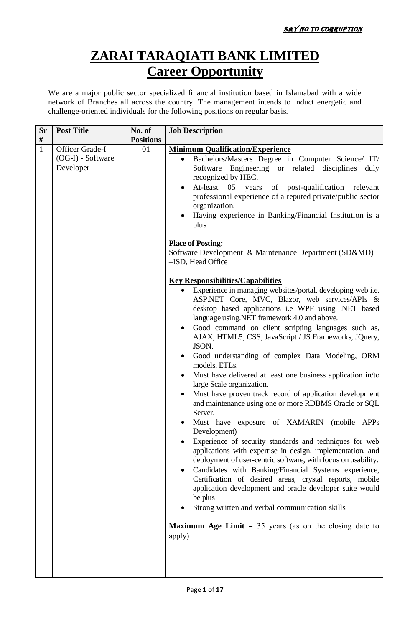## **ZARAI TARAQIATI BANK LIMITED Career Opportunity**

We are a major public sector specialized financial institution based in Islamabad with a wide network of Branches all across the country. The management intends to induct energetic and challenge-oriented individuals for the following positions on regular basis.

| <b>Sr</b>    | <b>Post Title</b>                                 | No. of           | <b>Job Description</b>                                                                                                                                                                                                                                                                                                                                                                                                                                                                                                                                                                                                                                                                                                                                                                                                                                                                                                                                                                                                                                                                                                                                                                                                                                                                                                                                                                                                                                                                                                                                                                                                                                                                                                                                                              |
|--------------|---------------------------------------------------|------------------|-------------------------------------------------------------------------------------------------------------------------------------------------------------------------------------------------------------------------------------------------------------------------------------------------------------------------------------------------------------------------------------------------------------------------------------------------------------------------------------------------------------------------------------------------------------------------------------------------------------------------------------------------------------------------------------------------------------------------------------------------------------------------------------------------------------------------------------------------------------------------------------------------------------------------------------------------------------------------------------------------------------------------------------------------------------------------------------------------------------------------------------------------------------------------------------------------------------------------------------------------------------------------------------------------------------------------------------------------------------------------------------------------------------------------------------------------------------------------------------------------------------------------------------------------------------------------------------------------------------------------------------------------------------------------------------------------------------------------------------------------------------------------------------|
| #            |                                                   | <b>Positions</b> |                                                                                                                                                                                                                                                                                                                                                                                                                                                                                                                                                                                                                                                                                                                                                                                                                                                                                                                                                                                                                                                                                                                                                                                                                                                                                                                                                                                                                                                                                                                                                                                                                                                                                                                                                                                     |
| $\mathbf{1}$ | Officer Grade-I<br>(OG-I) - Software<br>Developer | 01               | <b>Minimum Qualification/Experience</b><br>Bachelors/Masters Degree in Computer Science/ IT/<br>Software Engineering or related disciplines<br>duly<br>recognized by HEC.<br>At-least 05 years<br>of post-qualification<br>relevant<br>professional experience of a reputed private/public sector<br>organization.<br>Having experience in Banking/Financial Institution is a<br>plus<br><b>Place of Posting:</b><br>Software Development & Maintenance Department (SD&MD)<br>-ISD, Head Office<br><b>Key Responsibilities/Capabilities</b><br>Experience in managing websites/portal, developing web i.e.<br>ASP.NET Core, MVC, Blazor, web services/APIs &<br>desktop based applications i.e WPF using .NET based<br>language using.NET framework 4.0 and above.<br>Good command on client scripting languages such as,<br>AJAX, HTML5, CSS, JavaScript / JS Frameworks, JQuery,<br>JSON.<br>Good understanding of complex Data Modeling, ORM<br>models, ETLs.<br>Must have delivered at least one business application in/to<br>large Scale organization.<br>Must have proven track record of application development<br>and maintenance using one or more RDBMS Oracle or SQL<br>Server.<br>Must have exposure of XAMARIN<br>(mobile APPs)<br>Development)<br>Experience of security standards and techniques for web<br>applications with expertise in design, implementation, and<br>deployment of user-centric software, with focus on usability.<br>Candidates with Banking/Financial Systems experience,<br>Certification of desired areas, crystal reports, mobile<br>application development and oracle developer suite would<br>be plus<br>Strong written and verbal communication skills<br><b>Maximum Age Limit</b> = $35$ years (as on the closing date to<br>apply) |
|              |                                                   |                  |                                                                                                                                                                                                                                                                                                                                                                                                                                                                                                                                                                                                                                                                                                                                                                                                                                                                                                                                                                                                                                                                                                                                                                                                                                                                                                                                                                                                                                                                                                                                                                                                                                                                                                                                                                                     |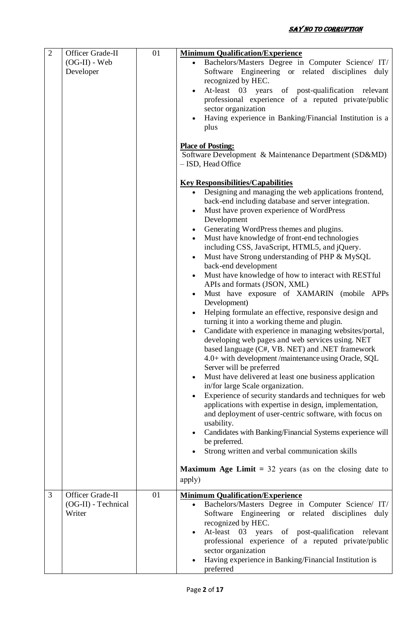| $\overline{2}$ | Officer Grade-II<br>$(OG-II)$ - Web<br>Developer  | 01 | <b>Minimum Qualification/Experience</b><br>Bachelors/Masters Degree in Computer Science/ IT/<br>Software Engineering or related disciplines duly<br>recognized by HEC.<br>At-least 03 years of post-qualification relevant<br>professional experience of a reputed private/public<br>sector organization<br>Having experience in Banking/Financial Institution is a<br>plus<br><b>Place of Posting:</b><br>Software Development & Maintenance Department (SD&MD)<br>- ISD, Head Office<br><b>Key Responsibilities/Capabilities</b><br>Designing and managing the web applications frontend,<br>$\bullet$<br>back-end including database and server integration.<br>Must have proven experience of WordPress<br>Development<br>Generating WordPress themes and plugins.<br>$\bullet$<br>Must have knowledge of front-end technologies<br>$\bullet$<br>including CSS, JavaScript, HTML5, and jQuery.<br>Must have Strong understanding of PHP & MySQL<br>$\bullet$<br>back-end development<br>Must have knowledge of how to interact with RESTful<br>$\bullet$<br>APIs and formats (JSON, XML)<br>Must have exposure of XAMARIN (mobile APPs<br>$\bullet$<br>Development)<br>Helping formulate an effective, responsive design and<br>$\bullet$<br>turning it into a working theme and plugin.<br>Candidate with experience in managing websites/portal,<br>$\bullet$<br>developing web pages and web services using. NET<br>based language (C#, VB. NET) and .NET framework<br>4.0+ with development /maintenance using Oracle, SQL<br>Server will be preferred<br>Must have delivered at least one business application<br>$\bullet$<br>in/for large Scale organization.<br>Experience of security standards and techniques for web<br>applications with expertise in design, implementation,<br>and deployment of user-centric software, with focus on<br>usability.<br>Candidates with Banking/Financial Systems experience will<br>be preferred.<br>Strong written and verbal communication skills |
|----------------|---------------------------------------------------|----|-------------------------------------------------------------------------------------------------------------------------------------------------------------------------------------------------------------------------------------------------------------------------------------------------------------------------------------------------------------------------------------------------------------------------------------------------------------------------------------------------------------------------------------------------------------------------------------------------------------------------------------------------------------------------------------------------------------------------------------------------------------------------------------------------------------------------------------------------------------------------------------------------------------------------------------------------------------------------------------------------------------------------------------------------------------------------------------------------------------------------------------------------------------------------------------------------------------------------------------------------------------------------------------------------------------------------------------------------------------------------------------------------------------------------------------------------------------------------------------------------------------------------------------------------------------------------------------------------------------------------------------------------------------------------------------------------------------------------------------------------------------------------------------------------------------------------------------------------------------------------------------------------------------------------------------------------------------------------------------------------------|
|                |                                                   |    | <b>Maximum Age Limit</b> = 32 years (as on the closing date to<br>apply)                                                                                                                                                                                                                                                                                                                                                                                                                                                                                                                                                                                                                                                                                                                                                                                                                                                                                                                                                                                                                                                                                                                                                                                                                                                                                                                                                                                                                                                                                                                                                                                                                                                                                                                                                                                                                                                                                                                              |
| 3              | Officer Grade-II<br>(OG-II) - Technical<br>Writer | 01 | <b>Minimum Qualification/Experience</b><br>Bachelors/Masters Degree in Computer Science/ IT/<br>Software Engineering or related disciplines duly<br>recognized by HEC.<br>At-least 03 years of post-qualification relevant<br>professional experience of a reputed private/public<br>sector organization<br>Having experience in Banking/Financial Institution is<br>preferred                                                                                                                                                                                                                                                                                                                                                                                                                                                                                                                                                                                                                                                                                                                                                                                                                                                                                                                                                                                                                                                                                                                                                                                                                                                                                                                                                                                                                                                                                                                                                                                                                        |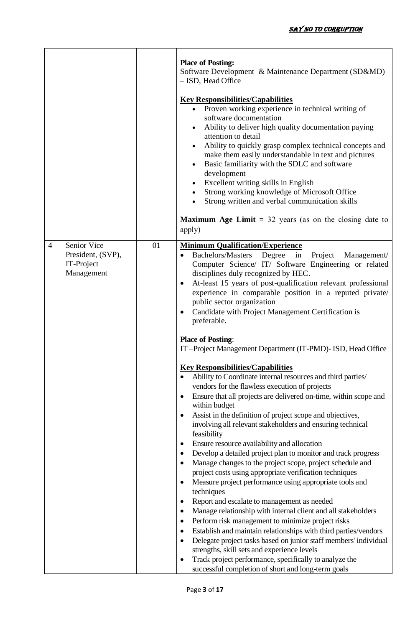|                                                                                |    | <b>Place of Posting:</b><br>Software Development & Maintenance Department (SD&MD)<br>- ISD, Head Office<br><b>Key Responsibilities/Capabilities</b><br>Proven working experience in technical writing of<br>software documentation<br>Ability to deliver high quality documentation paying<br>$\bullet$<br>attention to detail<br>Ability to quickly grasp complex technical concepts and<br>make them easily understandable in text and pictures<br>Basic familiarity with the SDLC and software<br>$\bullet$<br>development<br>Excellent writing skills in English<br>Strong working knowledge of Microsoft Office<br>$\bullet$<br>Strong written and verbal communication skills<br>$\bullet$<br><b>Maximum Age Limit</b> = $32$ years (as on the closing date to<br>apply)                                                                                                                                                                                                                                                                                                                                                                                                                                                                                                                                                                                                                                                                                                                                                                                                                                                                                                                                                                                                                                                                              |
|--------------------------------------------------------------------------------|----|-------------------------------------------------------------------------------------------------------------------------------------------------------------------------------------------------------------------------------------------------------------------------------------------------------------------------------------------------------------------------------------------------------------------------------------------------------------------------------------------------------------------------------------------------------------------------------------------------------------------------------------------------------------------------------------------------------------------------------------------------------------------------------------------------------------------------------------------------------------------------------------------------------------------------------------------------------------------------------------------------------------------------------------------------------------------------------------------------------------------------------------------------------------------------------------------------------------------------------------------------------------------------------------------------------------------------------------------------------------------------------------------------------------------------------------------------------------------------------------------------------------------------------------------------------------------------------------------------------------------------------------------------------------------------------------------------------------------------------------------------------------------------------------------------------------------------------------------------------------|
| Senior Vice<br>$\overline{4}$<br>President, (SVP),<br>IT-Project<br>Management | 01 | <b>Minimum Qualification/Experience</b><br>Bachelors/Masters Degree in<br>Project Management/<br>Computer Science/ IT/ Software Engineering or related<br>disciplines duly recognized by HEC.<br>At-least 15 years of post-qualification relevant professional<br>$\bullet$<br>experience in comparable position in a reputed private/<br>public sector organization<br>Candidate with Project Management Certification is<br>preferable.<br><b>Place of Posting:</b><br>IT-Project Management Department (IT-PMD)- ISD, Head Office<br><b>Key Responsibilities/Capabilities</b><br>Ability to Coordinate internal resources and third parties/<br>vendors for the flawless execution of projects<br>Ensure that all projects are delivered on-time, within scope and<br>within budget<br>Assist in the definition of project scope and objectives,<br>$\bullet$<br>involving all relevant stakeholders and ensuring technical<br>feasibility<br>Ensure resource availability and allocation<br>$\bullet$<br>Develop a detailed project plan to monitor and track progress<br>$\bullet$<br>Manage changes to the project scope, project schedule and<br>$\bullet$<br>project costs using appropriate verification techniques<br>Measure project performance using appropriate tools and<br>$\bullet$<br>techniques<br>Report and escalate to management as needed<br>٠<br>Manage relationship with internal client and all stakeholders<br>$\bullet$<br>Perform risk management to minimize project risks<br>٠<br>Establish and maintain relationships with third parties/vendors<br>$\bullet$<br>Delegate project tasks based on junior staff members' individual<br>$\bullet$<br>strengths, skill sets and experience levels<br>Track project performance, specifically to analyze the<br>$\bullet$<br>successful completion of short and long-term goals |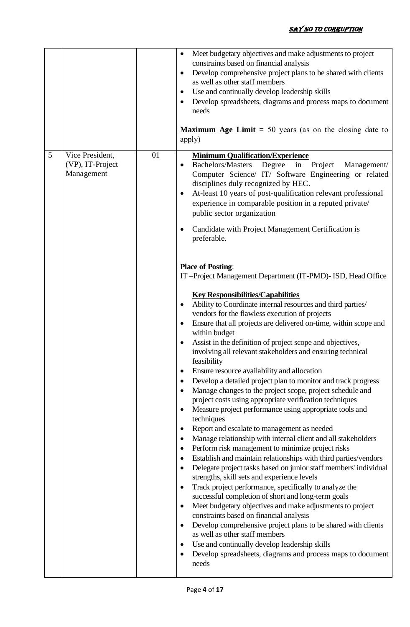|   |                                                   |    | Meet budgetary objectives and make adjustments to project<br>٠<br>constraints based on financial analysis<br>Develop comprehensive project plans to be shared with clients<br>$\bullet$<br>as well as other staff members<br>Use and continually develop leadership skills<br>٠<br>Develop spreadsheets, diagrams and process maps to document<br>٠<br>needs<br><b>Maximum Age Limit = 50 years (as on the closing date to</b><br>apply)                                                                                                                                                                                                                                                                                                                                                                                                                                                                                                                                                                                                                                                                                                                                                                                                                                                                                                                                                                                                                                                                                                                                                                                                                                                                                               |
|---|---------------------------------------------------|----|----------------------------------------------------------------------------------------------------------------------------------------------------------------------------------------------------------------------------------------------------------------------------------------------------------------------------------------------------------------------------------------------------------------------------------------------------------------------------------------------------------------------------------------------------------------------------------------------------------------------------------------------------------------------------------------------------------------------------------------------------------------------------------------------------------------------------------------------------------------------------------------------------------------------------------------------------------------------------------------------------------------------------------------------------------------------------------------------------------------------------------------------------------------------------------------------------------------------------------------------------------------------------------------------------------------------------------------------------------------------------------------------------------------------------------------------------------------------------------------------------------------------------------------------------------------------------------------------------------------------------------------------------------------------------------------------------------------------------------------|
| 5 | Vice President,<br>(VP), IT-Project<br>Management | 01 | <b>Minimum Qualification/Experience</b><br><b>Bachelors/Masters</b><br>Degree<br>in<br>Project<br>Management/<br>$\bullet$<br>Computer Science/ IT/ Software Engineering or related<br>disciplines duly recognized by HEC.<br>At-least 10 years of post-qualification relevant professional<br>٠<br>experience in comparable position in a reputed private/<br>public sector organization<br>Candidate with Project Management Certification is<br>$\bullet$<br>preferable.                                                                                                                                                                                                                                                                                                                                                                                                                                                                                                                                                                                                                                                                                                                                                                                                                                                                                                                                                                                                                                                                                                                                                                                                                                                            |
|   |                                                   |    | <b>Place of Posting:</b><br>IT-Project Management Department (IT-PMD)- ISD, Head Office<br><b>Key Responsibilities/Capabilities</b><br>Ability to Coordinate internal resources and third parties/<br>٠<br>vendors for the flawless execution of projects<br>Ensure that all projects are delivered on-time, within scope and<br>٠<br>within budget<br>Assist in the definition of project scope and objectives,<br>involving all relevant stakeholders and ensuring technical<br>feasibility<br>Ensure resource availability and allocation<br>٠<br>Develop a detailed project plan to monitor and track progress<br>$\bullet$<br>Manage changes to the project scope, project schedule and<br>$\bullet$<br>project costs using appropriate verification techniques<br>Measure project performance using appropriate tools and<br>$\bullet$<br>techniques<br>Report and escalate to management as needed<br>٠<br>Manage relationship with internal client and all stakeholders<br>٠<br>Perform risk management to minimize project risks<br>٠<br>Establish and maintain relationships with third parties/vendors<br>٠<br>Delegate project tasks based on junior staff members' individual<br>٠<br>strengths, skill sets and experience levels<br>Track project performance, specifically to analyze the<br>$\bullet$<br>successful completion of short and long-term goals<br>Meet budgetary objectives and make adjustments to project<br>٠<br>constraints based on financial analysis<br>Develop comprehensive project plans to be shared with clients<br>٠<br>as well as other staff members<br>Use and continually develop leadership skills<br>Develop spreadsheets, diagrams and process maps to document<br>$\bullet$<br>needs |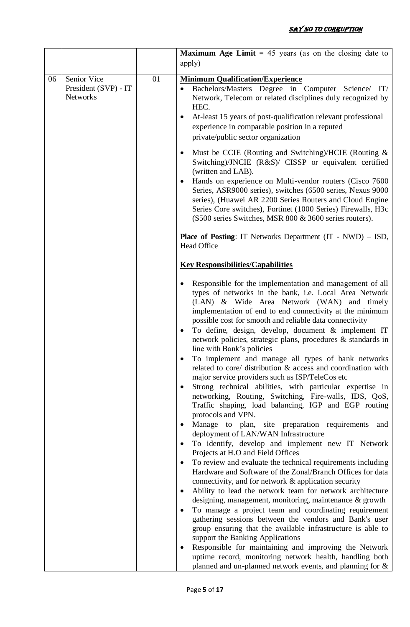|    |                                                        |    | <b>Maximum Age Limit</b> = 45 years (as on the closing date to<br>apply)                                                                                                                                                                                                                                                                                                                                                                                                                                                                                                                                                                                                                                                                                                                                                                                                                                                                                                     |
|----|--------------------------------------------------------|----|------------------------------------------------------------------------------------------------------------------------------------------------------------------------------------------------------------------------------------------------------------------------------------------------------------------------------------------------------------------------------------------------------------------------------------------------------------------------------------------------------------------------------------------------------------------------------------------------------------------------------------------------------------------------------------------------------------------------------------------------------------------------------------------------------------------------------------------------------------------------------------------------------------------------------------------------------------------------------|
| 06 | Senior Vice<br>President (SVP) - IT<br><b>Networks</b> | 01 | <b>Minimum Qualification/Experience</b><br>Bachelors/Masters Degree in Computer Science/ IT/<br>$\bullet$<br>Network, Telecom or related disciplines duly recognized by<br>HEC.<br>At-least 15 years of post-qualification relevant professional<br>$\bullet$<br>experience in comparable position in a reputed<br>private/public sector organization                                                                                                                                                                                                                                                                                                                                                                                                                                                                                                                                                                                                                        |
|    |                                                        |    | Must be CCIE (Routing and Switching)/HCIE (Routing &<br>Switching)/JNCIE (R&S)/ CISSP or equivalent certified<br>(written and LAB).<br>Hands on experience on Multi-vendor routers (Cisco 7600<br>Series, ASR9000 series), switches (6500 series, Nexus 9000<br>series), (Huawei AR 2200 Series Routers and Cloud Engine<br>Series Core switches), Fortinet (1000 Series) Firewalls, H3c<br>(S500 series Switches, MSR 800 & 3600 series routers).                                                                                                                                                                                                                                                                                                                                                                                                                                                                                                                           |
|    |                                                        |    | <b>Place of Posting:</b> IT Networks Department $(IT - NWD) - ISD$ ,<br>Head Office                                                                                                                                                                                                                                                                                                                                                                                                                                                                                                                                                                                                                                                                                                                                                                                                                                                                                          |
|    |                                                        |    | <b>Key Responsibilities/Capabilities</b>                                                                                                                                                                                                                                                                                                                                                                                                                                                                                                                                                                                                                                                                                                                                                                                                                                                                                                                                     |
|    |                                                        |    | Responsible for the implementation and management of all<br>types of networks in the bank, i.e. Local Area Network<br>(LAN) & Wide Area Network (WAN) and timely<br>implementation of end to end connectivity at the minimum<br>possible cost for smooth and reliable data connectivity<br>To define, design, develop, document & implement IT<br>network policies, strategic plans, procedures & standards in<br>line with Bank's policies<br>To implement and manage all types of bank networks<br>related to core/ distribution & access and coordination with<br>major service providers such as ISP/TeleCos etc<br>Strong technical abilities, with particular expertise in<br>networking, Routing, Switching, Fire-walls, IDS, QoS,<br>Traffic shaping, load balancing, IGP and EGP routing<br>protocols and VPN.<br>Manage to plan, site preparation requirements<br>and<br>deployment of LAN/WAN Infrastructure<br>To identify, develop and implement new IT Network |
|    |                                                        |    | Projects at H.O and Field Offices<br>To review and evaluate the technical requirements including<br>Hardware and Software of the Zonal/Branch Offices for data<br>connectivity, and for network & application security<br>Ability to lead the network team for network architecture<br>$\bullet$<br>designing, management, monitoring, maintenance & growth<br>To manage a project team and coordinating requirement<br>gathering sessions between the vendors and Bank's user<br>group ensuring that the available infrastructure is able to<br>support the Banking Applications<br>Responsible for maintaining and improving the Network                                                                                                                                                                                                                                                                                                                                   |
|    |                                                        |    | uptime record, monitoring network health, handling both<br>planned and un-planned network events, and planning for &                                                                                                                                                                                                                                                                                                                                                                                                                                                                                                                                                                                                                                                                                                                                                                                                                                                         |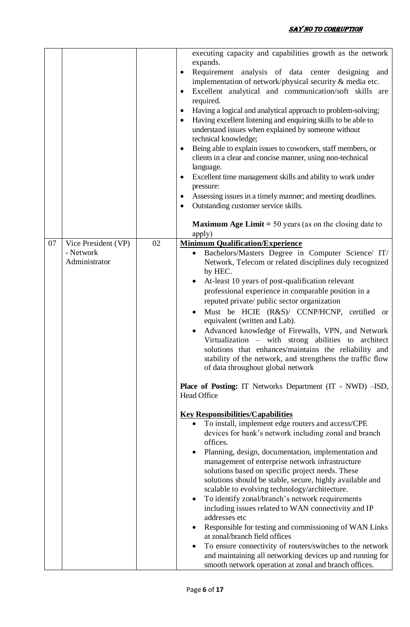|    |                     |    | executing capacity and capabilities growth as the network<br>expands.                                                                                                                                                                                                                                                                                                                                                                                                                                                                                                                                                                                                                                                                                                                                                                     |
|----|---------------------|----|-------------------------------------------------------------------------------------------------------------------------------------------------------------------------------------------------------------------------------------------------------------------------------------------------------------------------------------------------------------------------------------------------------------------------------------------------------------------------------------------------------------------------------------------------------------------------------------------------------------------------------------------------------------------------------------------------------------------------------------------------------------------------------------------------------------------------------------------|
|    |                     |    | Requirement analysis of data center designing and<br>$\bullet$<br>implementation of network/physical security & media etc.<br>Excellent analytical and communication/soft skills are<br>$\bullet$<br>required.<br>Having a logical and analytical approach to problem-solving;<br>$\bullet$<br>Having excellent listening and enquiring skills to be able to<br>$\bullet$<br>understand issues when explained by someone without<br>technical knowledge;<br>Being able to explain issues to coworkers, staff members, or<br>$\bullet$<br>clients in a clear and concise manner, using non-technical<br>language.<br>Excellent time management skills and ability to work under<br>$\bullet$<br>pressure:<br>Assessing issues in a timely manner; and meeting deadlines.<br>$\bullet$<br>Outstanding customer service skills.<br>$\bullet$ |
|    |                     |    |                                                                                                                                                                                                                                                                                                                                                                                                                                                                                                                                                                                                                                                                                                                                                                                                                                           |
|    |                     |    | <b>Maximum Age Limit</b> = 50 years (as on the closing date to<br>apply)                                                                                                                                                                                                                                                                                                                                                                                                                                                                                                                                                                                                                                                                                                                                                                  |
| 07 | Vice President (VP) | 02 | <b>Minimum Qualification/Experience</b>                                                                                                                                                                                                                                                                                                                                                                                                                                                                                                                                                                                                                                                                                                                                                                                                   |
|    | - Network           |    | Bachelors/Masters Degree in Computer Science/ IT/                                                                                                                                                                                                                                                                                                                                                                                                                                                                                                                                                                                                                                                                                                                                                                                         |
|    | Administrator       |    | Network, Telecom or related disciplines duly recognized                                                                                                                                                                                                                                                                                                                                                                                                                                                                                                                                                                                                                                                                                                                                                                                   |
|    |                     |    | by HEC.                                                                                                                                                                                                                                                                                                                                                                                                                                                                                                                                                                                                                                                                                                                                                                                                                                   |
|    |                     |    | At-least 10 years of post-qualification relevant                                                                                                                                                                                                                                                                                                                                                                                                                                                                                                                                                                                                                                                                                                                                                                                          |
|    |                     |    | professional experience in comparable position in a                                                                                                                                                                                                                                                                                                                                                                                                                                                                                                                                                                                                                                                                                                                                                                                       |
|    |                     |    | reputed private/ public sector organization                                                                                                                                                                                                                                                                                                                                                                                                                                                                                                                                                                                                                                                                                                                                                                                               |
|    |                     |    | Must be HCIE (R&S)/ CCNP/HCNP, certified or<br>equivalent (written and Lab).                                                                                                                                                                                                                                                                                                                                                                                                                                                                                                                                                                                                                                                                                                                                                              |
|    |                     |    | Advanced knowledge of Firewalls, VPN, and Network                                                                                                                                                                                                                                                                                                                                                                                                                                                                                                                                                                                                                                                                                                                                                                                         |
|    |                     |    | Virtualization – with strong abilities to architect                                                                                                                                                                                                                                                                                                                                                                                                                                                                                                                                                                                                                                                                                                                                                                                       |
|    |                     |    | solutions that enhances/maintains the reliability and                                                                                                                                                                                                                                                                                                                                                                                                                                                                                                                                                                                                                                                                                                                                                                                     |
|    |                     |    | stability of the network, and strengthens the traffic flow                                                                                                                                                                                                                                                                                                                                                                                                                                                                                                                                                                                                                                                                                                                                                                                |
|    |                     |    | of data throughout global network                                                                                                                                                                                                                                                                                                                                                                                                                                                                                                                                                                                                                                                                                                                                                                                                         |
|    |                     |    | Place of Posting: IT Networks Department (IT - NWD) -ISD,<br>Head Office                                                                                                                                                                                                                                                                                                                                                                                                                                                                                                                                                                                                                                                                                                                                                                  |
|    |                     |    |                                                                                                                                                                                                                                                                                                                                                                                                                                                                                                                                                                                                                                                                                                                                                                                                                                           |
|    |                     |    | <b>Key Responsibilities/Capabilities</b><br>To install, implement edge routers and access/CPE                                                                                                                                                                                                                                                                                                                                                                                                                                                                                                                                                                                                                                                                                                                                             |
|    |                     |    | devices for bank's network including zonal and branch                                                                                                                                                                                                                                                                                                                                                                                                                                                                                                                                                                                                                                                                                                                                                                                     |
|    |                     |    | offices.                                                                                                                                                                                                                                                                                                                                                                                                                                                                                                                                                                                                                                                                                                                                                                                                                                  |
|    |                     |    | Planning, design, documentation, implementation and                                                                                                                                                                                                                                                                                                                                                                                                                                                                                                                                                                                                                                                                                                                                                                                       |
|    |                     |    | management of enterprise network infrastructure                                                                                                                                                                                                                                                                                                                                                                                                                                                                                                                                                                                                                                                                                                                                                                                           |
|    |                     |    | solutions based on specific project needs. These                                                                                                                                                                                                                                                                                                                                                                                                                                                                                                                                                                                                                                                                                                                                                                                          |
|    |                     |    | solutions should be stable, secure, highly available and                                                                                                                                                                                                                                                                                                                                                                                                                                                                                                                                                                                                                                                                                                                                                                                  |
|    |                     |    | scalable to evolving technology/architecture.                                                                                                                                                                                                                                                                                                                                                                                                                                                                                                                                                                                                                                                                                                                                                                                             |
|    |                     |    | To identify zonal/branch's network requirements<br>$\bullet$                                                                                                                                                                                                                                                                                                                                                                                                                                                                                                                                                                                                                                                                                                                                                                              |
|    |                     |    | including issues related to WAN connectivity and IP<br>addresses etc                                                                                                                                                                                                                                                                                                                                                                                                                                                                                                                                                                                                                                                                                                                                                                      |
|    |                     |    | Responsible for testing and commissioning of WAN Links                                                                                                                                                                                                                                                                                                                                                                                                                                                                                                                                                                                                                                                                                                                                                                                    |
|    |                     |    | at zonal/branch field offices                                                                                                                                                                                                                                                                                                                                                                                                                                                                                                                                                                                                                                                                                                                                                                                                             |
|    |                     |    | To ensure connectivity of routers/switches to the network<br>٠                                                                                                                                                                                                                                                                                                                                                                                                                                                                                                                                                                                                                                                                                                                                                                            |
|    |                     |    | and maintaining all networking devices up and running for                                                                                                                                                                                                                                                                                                                                                                                                                                                                                                                                                                                                                                                                                                                                                                                 |
|    |                     |    | smooth network operation at zonal and branch offices.                                                                                                                                                                                                                                                                                                                                                                                                                                                                                                                                                                                                                                                                                                                                                                                     |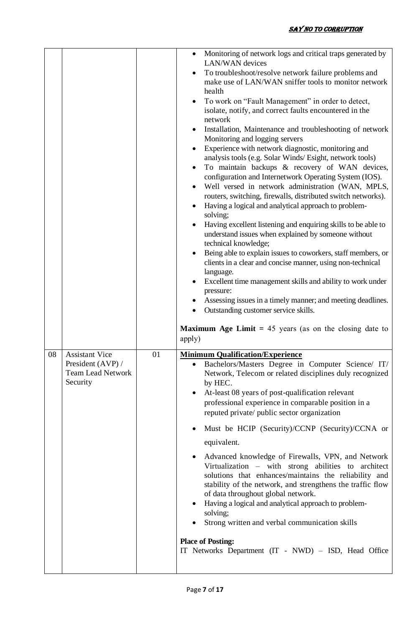|    |                                                                                    |    | Monitoring of network logs and critical traps generated by<br>LAN/WAN devices<br>To troubleshoot/resolve network failure problems and<br>make use of LAN/WAN sniffer tools to monitor network<br>health<br>To work on "Fault Management" in order to detect,<br>isolate, notify, and correct faults encountered in the<br>network<br>Installation, Maintenance and troubleshooting of network<br>Monitoring and logging servers<br>Experience with network diagnostic, monitoring and<br>analysis tools (e.g. Solar Winds/Esight, network tools)<br>To maintain backups & recovery of WAN devices,<br>configuration and Internetwork Operating System (IOS).<br>Well versed in network administration (WAN, MPLS,<br>routers, switching, firewalls, distributed switch networks).<br>Having a logical and analytical approach to problem-<br>solving;<br>Having excellent listening and enquiring skills to be able to<br>understand issues when explained by someone without<br>technical knowledge;<br>Being able to explain issues to coworkers, staff members, or<br>clients in a clear and concise manner, using non-technical<br>language.<br>Excellent time management skills and ability to work under<br>pressure:<br>Assessing issues in a timely manner; and meeting deadlines.<br>Outstanding customer service skills.<br><b>Maximum Age Limit</b> = 45 years (as on the closing date to<br>apply) |
|----|------------------------------------------------------------------------------------|----|----------------------------------------------------------------------------------------------------------------------------------------------------------------------------------------------------------------------------------------------------------------------------------------------------------------------------------------------------------------------------------------------------------------------------------------------------------------------------------------------------------------------------------------------------------------------------------------------------------------------------------------------------------------------------------------------------------------------------------------------------------------------------------------------------------------------------------------------------------------------------------------------------------------------------------------------------------------------------------------------------------------------------------------------------------------------------------------------------------------------------------------------------------------------------------------------------------------------------------------------------------------------------------------------------------------------------------------------------------------------------------------------------------------|
| 08 | <b>Assistant Vice</b><br>President (AVP) /<br><b>Team Lead Network</b><br>Security | 01 | <b>Minimum Qualification/Experience</b><br>Bachelors/Masters Degree in Computer Science/ IT/<br>Network, Telecom or related disciplines duly recognized<br>by HEC.<br>At-least 08 years of post-qualification relevant<br>professional experience in comparable position in a<br>reputed private/ public sector organization<br>Must be HCIP (Security)/CCNP (Security)/CCNA or<br>equivalent.<br>Advanced knowledge of Firewalls, VPN, and Network<br>Virtualization – with strong abilities to architect<br>solutions that enhances/maintains the reliability and<br>stability of the network, and strengthens the traffic flow<br>of data throughout global network.<br>Having a logical and analytical approach to problem-<br>solving;<br>Strong written and verbal communication skills<br><b>Place of Posting:</b><br>IT Networks Department (IT - NWD) – ISD, Head Office                                                                                                                                                                                                                                                                                                                                                                                                                                                                                                                              |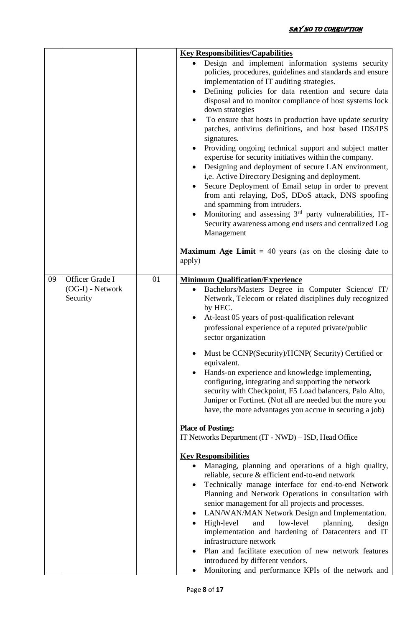|    |                                                   |    | <b>Key Responsibilities/Capabilities</b><br>Design and implement information systems security<br>policies, procedures, guidelines and standards and ensure<br>implementation of IT auditing strategies.<br>Defining policies for data retention and secure data<br>disposal and to monitor compliance of host systems lock<br>down strategies<br>To ensure that hosts in production have update security<br>patches, antivirus definitions, and host based IDS/IPS<br>signatures.<br>Providing ongoing technical support and subject matter<br>expertise for security initiatives within the company.<br>Designing and deployment of secure LAN environment,<br>i,e. Active Directory Designing and deployment.<br>Secure Deployment of Email setup in order to prevent<br>from anti relaying, DoS, DDoS attack, DNS spoofing<br>and spamming from intruders.<br>Monitoring and assessing 3rd party vulnerabilities, IT-<br>Security awareness among end users and centralized Log<br>Management<br><b>Maximum Age Limit</b> = 40 years (as on the closing date to<br>apply)                                                                                                                                                                                                                                                                                                                                                        |
|----|---------------------------------------------------|----|-------------------------------------------------------------------------------------------------------------------------------------------------------------------------------------------------------------------------------------------------------------------------------------------------------------------------------------------------------------------------------------------------------------------------------------------------------------------------------------------------------------------------------------------------------------------------------------------------------------------------------------------------------------------------------------------------------------------------------------------------------------------------------------------------------------------------------------------------------------------------------------------------------------------------------------------------------------------------------------------------------------------------------------------------------------------------------------------------------------------------------------------------------------------------------------------------------------------------------------------------------------------------------------------------------------------------------------------------------------------------------------------------------------------------------------|
| 09 | Officer Grade I<br>$(OG-I)$ - Network<br>Security | 01 | <b>Minimum Qualification/Experience</b><br>Bachelors/Masters Degree in Computer Science/ IT/<br>Network, Telecom or related disciplines duly recognized<br>by HEC.<br>At-least 05 years of post-qualification relevant<br>professional experience of a reputed private/public<br>sector organization<br>Must be CCNP(Security)/HCNP(Security) Certified or<br>equivalent.<br>Hands-on experience and knowledge implementing,<br>configuring, integrating and supporting the network<br>security with Checkpoint, F5 Load balancers, Palo Alto,<br>Juniper or Fortinet. (Not all are needed but the more you<br>have, the more advantages you accrue in securing a job)<br><b>Place of Posting:</b><br>IT Networks Department (IT - NWD) – ISD, Head Office<br><b>Key Responsibilities</b><br>Managing, planning and operations of a high quality,<br>$\bullet$<br>reliable, secure & efficient end-to-end network<br>Technically manage interface for end-to-end Network<br>Planning and Network Operations in consultation with<br>senior management for all projects and processes.<br>LAN/WAN/MAN Network Design and Implementation.<br>High-level<br>low-level<br>planning,<br>and<br>design<br>implementation and hardening of Datacenters and IT<br>infrastructure network<br>Plan and facilitate execution of new network features<br>introduced by different vendors.<br>Monitoring and performance KPIs of the network and |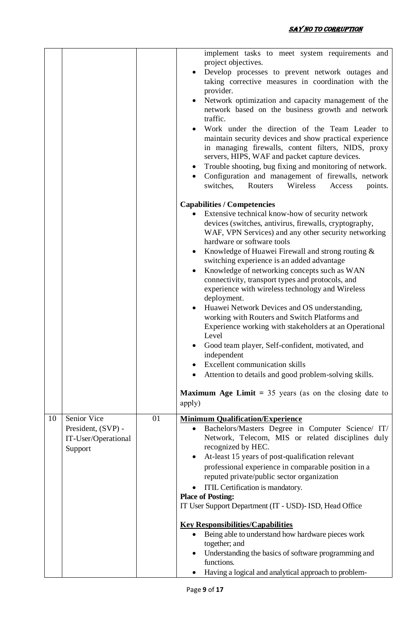|    |                                                                     |    | implement tasks to meet system requirements and<br>project objectives.<br>Develop processes to prevent network outages and<br>taking corrective measures in coordination with the<br>provider.<br>Network optimization and capacity management of the<br>network based on the business growth and network<br>traffic.                                                                                                                                                                                                                                                                                                                                                                                                                                                                                                                                                                                                         |
|----|---------------------------------------------------------------------|----|-------------------------------------------------------------------------------------------------------------------------------------------------------------------------------------------------------------------------------------------------------------------------------------------------------------------------------------------------------------------------------------------------------------------------------------------------------------------------------------------------------------------------------------------------------------------------------------------------------------------------------------------------------------------------------------------------------------------------------------------------------------------------------------------------------------------------------------------------------------------------------------------------------------------------------|
|    |                                                                     |    | Work under the direction of the Team Leader to<br>maintain security devices and show practical experience<br>in managing firewalls, content filters, NIDS, proxy<br>servers, HIPS, WAF and packet capture devices.<br>Trouble shooting, bug fixing and monitoring of network.<br>Configuration and management of firewalls, network<br>Wireless<br>switches,<br>Routers<br>Access<br>points.                                                                                                                                                                                                                                                                                                                                                                                                                                                                                                                                  |
|    |                                                                     |    |                                                                                                                                                                                                                                                                                                                                                                                                                                                                                                                                                                                                                                                                                                                                                                                                                                                                                                                               |
|    |                                                                     |    | <b>Capabilities / Competencies</b><br>Extensive technical know-how of security network<br>devices (switches, antivirus, firewalls, cryptography,<br>WAF, VPN Services) and any other security networking<br>hardware or software tools<br>Knowledge of Huawei Firewall and strong routing &<br>switching experience is an added advantage<br>Knowledge of networking concepts such as WAN<br>connectivity, transport types and protocols, and<br>experience with wireless technology and Wireless<br>deployment.<br>Huawei Network Devices and OS understanding,<br>working with Routers and Switch Platforms and<br>Experience working with stakeholders at an Operational<br>Level<br>Good team player, Self-confident, motivated, and<br>independent<br><b>Excellent communication skills</b><br>Attention to details and good problem-solving skills.<br><b>Maximum Age Limit</b> = $35$ years (as on the closing date to |
|    |                                                                     |    | apply)                                                                                                                                                                                                                                                                                                                                                                                                                                                                                                                                                                                                                                                                                                                                                                                                                                                                                                                        |
| 10 | Senior Vice<br>President, (SVP) -<br>IT-User/Operational<br>Support | 01 | <b>Minimum Qualification/Experience</b><br>Bachelors/Masters Degree in Computer Science/ IT/<br>$\bullet$<br>Network, Telecom, MIS or related disciplines duly<br>recognized by HEC.<br>At-least 15 years of post-qualification relevant<br>professional experience in comparable position in a<br>reputed private/public sector organization<br>ITIL Certification is mandatory.<br><b>Place of Posting:</b><br>IT User Support Department (IT - USD)- ISD, Head Office<br><b>Key Responsibilities/Capabilities</b>                                                                                                                                                                                                                                                                                                                                                                                                          |
|    |                                                                     |    | Being able to understand how hardware pieces work<br>together; and<br>Understanding the basics of software programming and<br>functions.<br>Having a logical and analytical approach to problem-                                                                                                                                                                                                                                                                                                                                                                                                                                                                                                                                                                                                                                                                                                                              |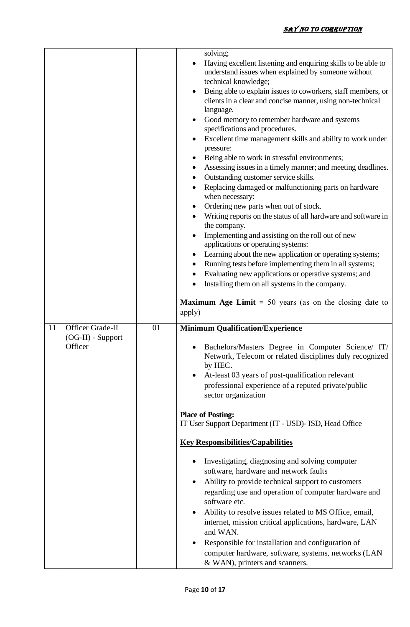|    |                                                    |    | solving;<br>Having excellent listening and enquiring skills to be able to<br>understand issues when explained by someone without<br>technical knowledge;<br>Being able to explain issues to coworkers, staff members, or<br>$\bullet$<br>clients in a clear and concise manner, using non-technical<br>language.<br>Good memory to remember hardware and systems<br>$\bullet$<br>specifications and procedures.<br>Excellent time management skills and ability to work under<br>pressure:<br>Being able to work in stressful environments;<br>Assessing issues in a timely manner; and meeting deadlines.<br>٠<br>Outstanding customer service skills.<br>Replacing damaged or malfunctioning parts on hardware<br>when necessary:<br>Ordering new parts when out of stock.<br>Writing reports on the status of all hardware and software in<br>$\bullet$<br>the company.<br>Implementing and assisting on the roll out of new<br>applications or operating systems:<br>Learning about the new application or operating systems;<br>Running tests before implementing them in all systems;<br>Evaluating new applications or operative systems; and<br>Installing them on all systems in the company.<br><b>Maximum Age Limit</b> = 50 years (as on the closing date to<br>apply) |
|----|----------------------------------------------------|----|------------------------------------------------------------------------------------------------------------------------------------------------------------------------------------------------------------------------------------------------------------------------------------------------------------------------------------------------------------------------------------------------------------------------------------------------------------------------------------------------------------------------------------------------------------------------------------------------------------------------------------------------------------------------------------------------------------------------------------------------------------------------------------------------------------------------------------------------------------------------------------------------------------------------------------------------------------------------------------------------------------------------------------------------------------------------------------------------------------------------------------------------------------------------------------------------------------------------------------------------------------------------------------|
| 11 | Officer Grade-II<br>$(OG-II)$ - Support<br>Officer | 01 | <b>Minimum Qualification/Experience</b><br>Bachelors/Masters Degree in Computer Science/ IT/<br>Network, Telecom or related disciplines duly recognized<br>by HEC.<br>At-least 03 years of post-qualification relevant<br>professional experience of a reputed private/public<br>sector organization<br><b>Place of Posting:</b><br>IT User Support Department (IT - USD)- ISD, Head Office<br><b>Key Responsibilities/Capabilities</b><br>Investigating, diagnosing and solving computer<br>software, hardware and network faults<br>Ability to provide technical support to customers<br>$\bullet$<br>regarding use and operation of computer hardware and<br>software etc.<br>Ability to resolve issues related to MS Office, email,<br>internet, mission critical applications, hardware, LAN<br>and WAN.<br>Responsible for installation and configuration of<br>$\bullet$<br>computer hardware, software, systems, networks (LAN<br>& WAN), printers and scanners.                                                                                                                                                                                                                                                                                                           |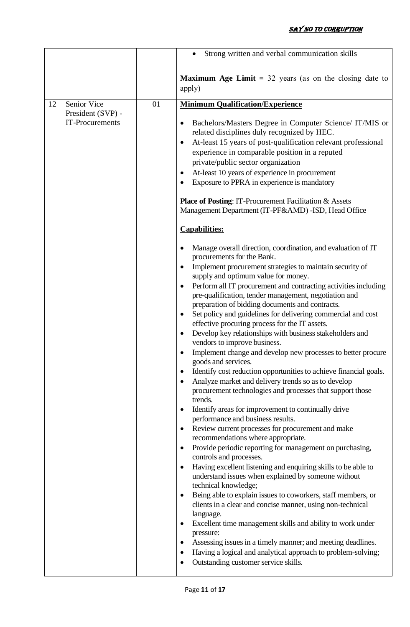|    |                                      |    | Strong written and verbal communication skills                                                                                                                                                                                                                                                                                                                                                                                                                                                                                                                                                                                                                                                                                                                                                                                                                                                                                                                                                                                                                                                                                                                                                                                                                                                                                                                                                                                                                                                                                                                                                                                                                                                                                                                                                                                                                                      |
|----|--------------------------------------|----|-------------------------------------------------------------------------------------------------------------------------------------------------------------------------------------------------------------------------------------------------------------------------------------------------------------------------------------------------------------------------------------------------------------------------------------------------------------------------------------------------------------------------------------------------------------------------------------------------------------------------------------------------------------------------------------------------------------------------------------------------------------------------------------------------------------------------------------------------------------------------------------------------------------------------------------------------------------------------------------------------------------------------------------------------------------------------------------------------------------------------------------------------------------------------------------------------------------------------------------------------------------------------------------------------------------------------------------------------------------------------------------------------------------------------------------------------------------------------------------------------------------------------------------------------------------------------------------------------------------------------------------------------------------------------------------------------------------------------------------------------------------------------------------------------------------------------------------------------------------------------------------|
|    |                                      |    | <b>Maximum Age Limit</b> = $32$ years (as on the closing date to<br>apply)                                                                                                                                                                                                                                                                                                                                                                                                                                                                                                                                                                                                                                                                                                                                                                                                                                                                                                                                                                                                                                                                                                                                                                                                                                                                                                                                                                                                                                                                                                                                                                                                                                                                                                                                                                                                          |
| 12 | Senior Vice                          | 01 | <b>Minimum Qualification/Experience</b>                                                                                                                                                                                                                                                                                                                                                                                                                                                                                                                                                                                                                                                                                                                                                                                                                                                                                                                                                                                                                                                                                                                                                                                                                                                                                                                                                                                                                                                                                                                                                                                                                                                                                                                                                                                                                                             |
|    | President (SVP) -<br>IT-Procurements |    | Bachelors/Masters Degree in Computer Science/ IT/MIS or<br>٠<br>related disciplines duly recognized by HEC.<br>At-least 15 years of post-qualification relevant professional<br>٠<br>experience in comparable position in a reputed<br>private/public sector organization<br>At-least 10 years of experience in procurement<br>٠<br>Exposure to PPRA in experience is mandatory<br>٠<br><b>Place of Posting: IT-Procurement Facilitation &amp; Assets</b><br>Management Department (IT-PF&AMD) - ISD, Head Office<br><b>Capabilities:</b><br>Manage overall direction, coordination, and evaluation of IT<br>procurements for the Bank.<br>Implement procurement strategies to maintain security of<br>٠<br>supply and optimum value for money.<br>Perform all IT procurement and contracting activities including<br>$\bullet$<br>pre-qualification, tender management, negotiation and<br>preparation of bidding documents and contracts.<br>Set policy and guidelines for delivering commercial and cost<br>$\bullet$<br>effective procuring process for the IT assets.<br>Develop key relationships with business stakeholders and<br>$\bullet$<br>vendors to improve business.<br>Implement change and develop new processes to better procure<br>goods and services.<br>Identify cost reduction opportunities to achieve financial goals.<br>٠<br>Analyze market and delivery trends so as to develop<br>$\bullet$<br>procurement technologies and processes that support those<br>trends.<br>Identify areas for improvement to continually drive<br>$\bullet$<br>performance and business results.<br>Review current processes for procurement and make<br>٠<br>recommendations where appropriate.<br>Provide periodic reporting for management on purchasing,<br>٠<br>controls and processes.<br>Having excellent listening and enquiring skills to be able to<br>$\bullet$ |
|    |                                      |    | understand issues when explained by someone without<br>technical knowledge;<br>Being able to explain issues to coworkers, staff members, or<br>$\bullet$<br>clients in a clear and concise manner, using non-technical                                                                                                                                                                                                                                                                                                                                                                                                                                                                                                                                                                                                                                                                                                                                                                                                                                                                                                                                                                                                                                                                                                                                                                                                                                                                                                                                                                                                                                                                                                                                                                                                                                                              |
|    |                                      |    | language.                                                                                                                                                                                                                                                                                                                                                                                                                                                                                                                                                                                                                                                                                                                                                                                                                                                                                                                                                                                                                                                                                                                                                                                                                                                                                                                                                                                                                                                                                                                                                                                                                                                                                                                                                                                                                                                                           |
|    |                                      |    | Excellent time management skills and ability to work under<br>٠<br>pressure:                                                                                                                                                                                                                                                                                                                                                                                                                                                                                                                                                                                                                                                                                                                                                                                                                                                                                                                                                                                                                                                                                                                                                                                                                                                                                                                                                                                                                                                                                                                                                                                                                                                                                                                                                                                                        |
|    |                                      |    | Assessing issues in a timely manner; and meeting deadlines.<br>$\bullet$                                                                                                                                                                                                                                                                                                                                                                                                                                                                                                                                                                                                                                                                                                                                                                                                                                                                                                                                                                                                                                                                                                                                                                                                                                                                                                                                                                                                                                                                                                                                                                                                                                                                                                                                                                                                            |
|    |                                      |    | Having a logical and analytical approach to problem-solving;<br>٠<br>Outstanding customer service skills.                                                                                                                                                                                                                                                                                                                                                                                                                                                                                                                                                                                                                                                                                                                                                                                                                                                                                                                                                                                                                                                                                                                                                                                                                                                                                                                                                                                                                                                                                                                                                                                                                                                                                                                                                                           |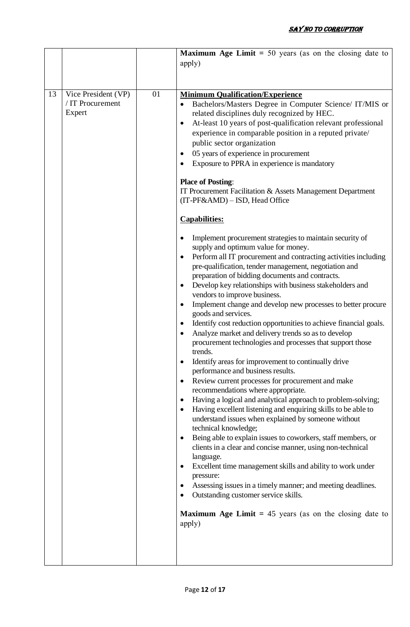|    |                                                   |    | <b>Maximum Age Limit</b> = 50 years (as on the closing date to<br>apply)                                                                                                                                                                                                                                                                                                                                                                                                                                                                                                                                                                                                                                                                                                                                                                                                                                                                                                                                                                                                                                                                                                                                                                                                                                                                                                                                                                                                                                                                                                                                                                                                                                                                                                                                                                                                                                                                                                                                                                                                                                                                                                |
|----|---------------------------------------------------|----|-------------------------------------------------------------------------------------------------------------------------------------------------------------------------------------------------------------------------------------------------------------------------------------------------------------------------------------------------------------------------------------------------------------------------------------------------------------------------------------------------------------------------------------------------------------------------------------------------------------------------------------------------------------------------------------------------------------------------------------------------------------------------------------------------------------------------------------------------------------------------------------------------------------------------------------------------------------------------------------------------------------------------------------------------------------------------------------------------------------------------------------------------------------------------------------------------------------------------------------------------------------------------------------------------------------------------------------------------------------------------------------------------------------------------------------------------------------------------------------------------------------------------------------------------------------------------------------------------------------------------------------------------------------------------------------------------------------------------------------------------------------------------------------------------------------------------------------------------------------------------------------------------------------------------------------------------------------------------------------------------------------------------------------------------------------------------------------------------------------------------------------------------------------------------|
| 13 | Vice President (VP)<br>/ IT Procurement<br>Expert | 01 | <b>Minimum Qualification/Experience</b><br>Bachelors/Masters Degree in Computer Science/ IT/MIS or<br>related disciplines duly recognized by HEC.<br>At-least 10 years of post-qualification relevant professional<br>٠<br>experience in comparable position in a reputed private/<br>public sector organization<br>05 years of experience in procurement<br>$\bullet$<br>Exposure to PPRA in experience is mandatory<br><b>Place of Posting:</b><br>IT Procurement Facilitation & Assets Management Department<br>(IT-PF&AMD) – ISD, Head Office<br><b>Capabilities:</b><br>Implement procurement strategies to maintain security of<br>supply and optimum value for money.<br>Perform all IT procurement and contracting activities including<br>$\bullet$<br>pre-qualification, tender management, negotiation and<br>preparation of bidding documents and contracts.<br>Develop key relationships with business stakeholders and<br>$\bullet$<br>vendors to improve business.<br>Implement change and develop new processes to better procure<br>goods and services.<br>Identify cost reduction opportunities to achieve financial goals.<br>٠<br>Analyze market and delivery trends so as to develop<br>$\bullet$<br>procurement technologies and processes that support those<br>trends.<br>Identify areas for improvement to continually drive<br>$\bullet$<br>performance and business results.<br>Review current processes for procurement and make<br>$\bullet$<br>recommendations where appropriate.<br>Having a logical and analytical approach to problem-solving;<br>Having excellent listening and enquiring skills to be able to<br>$\bullet$<br>understand issues when explained by someone without<br>technical knowledge;<br>Being able to explain issues to coworkers, staff members, or<br>$\bullet$<br>clients in a clear and concise manner, using non-technical<br>language.<br>Excellent time management skills and ability to work under<br>٠<br>pressure:<br>Assessing issues in a timely manner; and meeting deadlines.<br>Outstanding customer service skills.<br><b>Maximum Age Limit</b> = 45 years (as on the closing date to<br>apply) |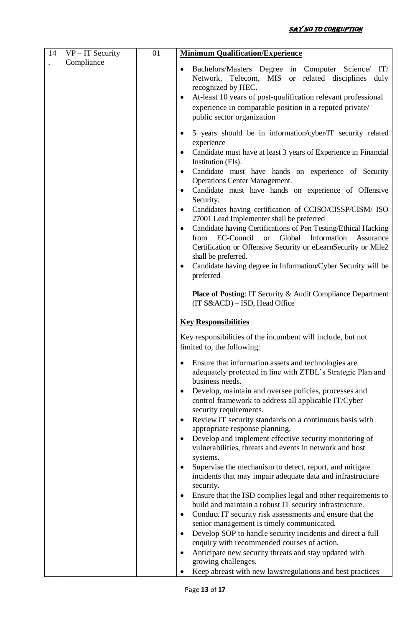| 14 | $VP - IT$ Security | 01 | <b>Minimum Qualification/Experience</b>                                                                                                                                                                                                                                                                                                                                                                                                                                                                                                                                                                                                                                                                                                                                                                                                                                                                                                                        |
|----|--------------------|----|----------------------------------------------------------------------------------------------------------------------------------------------------------------------------------------------------------------------------------------------------------------------------------------------------------------------------------------------------------------------------------------------------------------------------------------------------------------------------------------------------------------------------------------------------------------------------------------------------------------------------------------------------------------------------------------------------------------------------------------------------------------------------------------------------------------------------------------------------------------------------------------------------------------------------------------------------------------|
|    | Compliance         |    | Bachelors/Masters Degree in Computer Science/ IT/<br>$\bullet$<br>Network, Telecom, MIS or related disciplines<br>duly<br>recognized by HEC.<br>At-least 10 years of post-qualification relevant professional<br>$\bullet$<br>experience in comparable position in a reputed private/<br>public sector organization                                                                                                                                                                                                                                                                                                                                                                                                                                                                                                                                                                                                                                            |
|    |                    |    | 5 years should be in information/cyber/IT security related<br>$\bullet$<br>experience<br>Candidate must have at least 3 years of Experience in Financial<br>$\bullet$<br>Institution (FIs).<br>Candidate must have hands on experience of Security<br>$\bullet$<br><b>Operations Center Management.</b><br>Candidate must have hands on experience of Offensive<br>٠<br>Security.<br>Candidates having certification of CCISO/CISSP/CISM/ ISO<br>$\bullet$<br>27001 Lead Implementer shall be preferred<br>Candidate having Certifications of Pen Testing/Ethical Hacking<br>$\bullet$<br>EC-Council<br>Global<br>Information<br>from<br><sub>or</sub><br>Assurance<br>Certification or Offensive Security or eLearnSecurity or Mile2<br>shall be preferred.<br>Candidate having degree in Information/Cyber Security will be<br>$\bullet$<br>preferred<br><b>Place of Posting:</b> IT Security & Audit Compliance Department<br>(IT S&ACD) - ISD, Head Office |
|    |                    |    |                                                                                                                                                                                                                                                                                                                                                                                                                                                                                                                                                                                                                                                                                                                                                                                                                                                                                                                                                                |
|    |                    |    | <b>Key Responsibilities</b><br>Key responsibilities of the incumbent will include, but not<br>limited to, the following:                                                                                                                                                                                                                                                                                                                                                                                                                                                                                                                                                                                                                                                                                                                                                                                                                                       |
|    |                    |    | Ensure that information assets and technologies are<br>$\bullet$<br>adequately protected in line with ZTBL's Strategic Plan and<br>business needs.<br>Develop, maintain and oversee policies, processes and<br>$\bullet$<br>control framework to address all applicable IT/Cyber<br>security requirements.                                                                                                                                                                                                                                                                                                                                                                                                                                                                                                                                                                                                                                                     |
|    |                    |    | Review IT security standards on a continuous basis with<br>$\bullet$<br>appropriate response planning.<br>Develop and implement effective security monitoring of<br>$\bullet$<br>vulnerabilities, threats and events in network and host<br>systems.<br>Supervise the mechanism to detect, report, and mitigate<br>$\bullet$                                                                                                                                                                                                                                                                                                                                                                                                                                                                                                                                                                                                                                   |
|    |                    |    | incidents that may impair adequate data and infrastructure<br>security.<br>Ensure that the ISD complies legal and other requirements to<br>$\bullet$<br>build and maintain a robust IT security infrastructure.                                                                                                                                                                                                                                                                                                                                                                                                                                                                                                                                                                                                                                                                                                                                                |
|    |                    |    | Conduct IT security risk assessments and ensure that the<br>$\bullet$<br>senior management is timely communicated.<br>Develop SOP to handle security incidents and direct a full<br>$\bullet$<br>enquiry with recommended courses of action.                                                                                                                                                                                                                                                                                                                                                                                                                                                                                                                                                                                                                                                                                                                   |
|    |                    |    | Anticipate new security threats and stay updated with<br>$\bullet$<br>growing challenges.<br>Keep abreast with new laws/regulations and best practices                                                                                                                                                                                                                                                                                                                                                                                                                                                                                                                                                                                                                                                                                                                                                                                                         |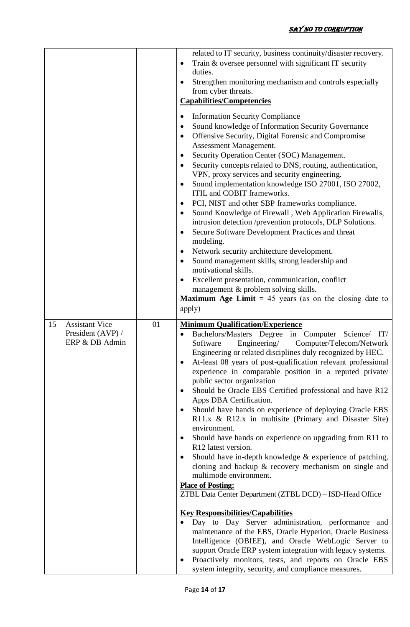|    |                                                              |    | related to IT security, business continuity/disaster recovery.<br>Train & oversee personnel with significant IT security<br>$\bullet$<br>duties.<br>Strengthen monitoring mechanism and controls especially<br>from cyber threats.<br><b>Capabilities/Competencies</b><br><b>Information Security Compliance</b><br>٠<br>Sound knowledge of Information Security Governance<br>٠<br>Offensive Security, Digital Forensic and Compromise<br>$\bullet$<br>Assessment Management.<br>Security Operation Center (SOC) Management.<br>$\bullet$<br>Security concepts related to DNS, routing, authentication,<br>VPN, proxy services and security engineering.<br>Sound implementation knowledge ISO 27001, ISO 27002,<br>$\bullet$<br>ITIL and COBIT frameworks.<br>PCI, NIST and other SBP frameworks compliance.<br>$\bullet$<br>Sound Knowledge of Firewall, Web Application Firewalls,<br>٠<br>intrusion detection /prevention protocols, DLP Solutions.<br>Secure Software Development Practices and threat<br>$\bullet$<br>modeling.<br>Network security architecture development.<br>٠<br>Sound management skills, strong leadership and<br>$\bullet$<br>motivational skills.<br>Excellent presentation, communication, conflict<br>$\bullet$<br>management & problem solving skills.<br><b>Maximum Age Limit</b> = 45 years (as on the closing date to<br>apply)                                             |
|----|--------------------------------------------------------------|----|------------------------------------------------------------------------------------------------------------------------------------------------------------------------------------------------------------------------------------------------------------------------------------------------------------------------------------------------------------------------------------------------------------------------------------------------------------------------------------------------------------------------------------------------------------------------------------------------------------------------------------------------------------------------------------------------------------------------------------------------------------------------------------------------------------------------------------------------------------------------------------------------------------------------------------------------------------------------------------------------------------------------------------------------------------------------------------------------------------------------------------------------------------------------------------------------------------------------------------------------------------------------------------------------------------------------------------------------------------------------------------------------------------------|
| 15 | <b>Assistant Vice</b><br>President (AVP) /<br>ERP & DB Admin | 01 | <b>Minimum Qualification/Experience</b><br>Bachelors/Masters Degree in Computer Science/<br>IT/<br>Software<br>Engineering/<br>Computer/Telecom/Network<br>Engineering or related disciplines duly recognized by HEC.<br>At-least 08 years of post-qualification relevant professional<br>$\bullet$<br>experience in comparable position in a reputed private/<br>public sector organization<br>Should be Oracle EBS Certified professional and have R12<br>٠<br>Apps DBA Certification.<br>Should have hands on experience of deploying Oracle EBS<br>$\bullet$<br>R11.x & R12.x in multisite (Primary and Disaster Site)<br>environment.<br>Should have hands on experience on upgrading from R11 to<br>$\bullet$<br>R <sub>12</sub> latest version.<br>Should have in-depth knowledge $&$ experience of patching,<br>$\bullet$<br>cloning and backup & recovery mechanism on single and<br>multimode environment.<br><b>Place of Posting:</b><br>ZTBL Data Center Department (ZTBL DCD) - ISD-Head Office<br><b>Key Responsibilities/Capabilities</b><br>Day to Day Server administration, performance and<br>maintenance of the EBS, Oracle Hyperion, Oracle Business<br>Intelligence (OBIEE), and Oracle WebLogic Server to<br>support Oracle ERP system integration with legacy systems.<br>Proactively monitors, tests, and reports on Oracle EBS<br>system integrity, security, and compliance measures. |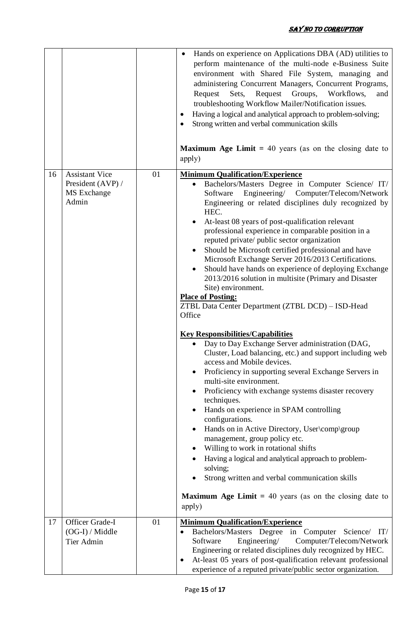|    |                                                                    |    | Hands on experience on Applications DBA (AD) utilities to<br>perform maintenance of the multi-node e-Business Suite<br>environment with Shared File System, managing and<br>administering Concurrent Managers, Concurrent Programs,<br>Groups, Workflows,<br>Sets,<br>Request<br>Request<br>and<br>troubleshooting Workflow Mailer/Notification issues.<br>Having a logical and analytical approach to problem-solving;<br>Strong written and verbal communication skills<br><b>Maximum Age Limit</b> = 40 years (as on the closing date to<br>apply)                                                                                                                                                                                                                                                                                                                                                                                                                                                                                                                                                                                                                                                                                                                                                                                                                                                                                                                                                                          |
|----|--------------------------------------------------------------------|----|--------------------------------------------------------------------------------------------------------------------------------------------------------------------------------------------------------------------------------------------------------------------------------------------------------------------------------------------------------------------------------------------------------------------------------------------------------------------------------------------------------------------------------------------------------------------------------------------------------------------------------------------------------------------------------------------------------------------------------------------------------------------------------------------------------------------------------------------------------------------------------------------------------------------------------------------------------------------------------------------------------------------------------------------------------------------------------------------------------------------------------------------------------------------------------------------------------------------------------------------------------------------------------------------------------------------------------------------------------------------------------------------------------------------------------------------------------------------------------------------------------------------------------|
| 16 | <b>Assistant Vice</b><br>President (AVP) /<br>MS Exchange<br>Admin | 01 | <b>Minimum Qualification/Experience</b><br>Bachelors/Masters Degree in Computer Science/ IT/<br>Engineering/ Computer/Telecom/Network<br>Software<br>Engineering or related disciplines duly recognized by<br>HEC.<br>At-least 08 years of post-qualification relevant<br>professional experience in comparable position in a<br>reputed private/ public sector organization<br>Should be Microsoft certified professional and have<br>$\bullet$<br>Microsoft Exchange Server 2016/2013 Certifications.<br>Should have hands on experience of deploying Exchange<br>$\bullet$<br>2013/2016 solution in multisite (Primary and Disaster<br>Site) environment.<br><b>Place of Posting:</b><br>ZTBL Data Center Department (ZTBL DCD) - ISD-Head<br>Office<br><b>Key Responsibilities/Capabilities</b><br>Day to Day Exchange Server administration (DAG,<br>Cluster, Load balancing, etc.) and support including web<br>access and Mobile devices.<br>Proficiency in supporting several Exchange Servers in<br>$\bullet$<br>multi-site environment.<br>Proficiency with exchange systems disaster recovery<br>techniques.<br>Hands on experience in SPAM controlling<br>configurations.<br>Hands on in Active Directory, User\comp\group<br>management, group policy etc.<br>Willing to work in rotational shifts<br>$\bullet$<br>Having a logical and analytical approach to problem-<br>solving;<br>Strong written and verbal communication skills<br><b>Maximum Age Limit</b> = 40 years (as on the closing date to<br>apply) |
| 17 | Officer Grade-I<br>$(OG-I) / Middle$<br>Tier Admin                 | 01 | <b>Minimum Qualification/Experience</b><br>Bachelors/Masters Degree in Computer Science/ IT/<br>Computer/Telecom/Network<br>Software<br>Engineering/<br>Engineering or related disciplines duly recognized by HEC.<br>At-least 05 years of post-qualification relevant professional<br>experience of a reputed private/public sector organization.                                                                                                                                                                                                                                                                                                                                                                                                                                                                                                                                                                                                                                                                                                                                                                                                                                                                                                                                                                                                                                                                                                                                                                             |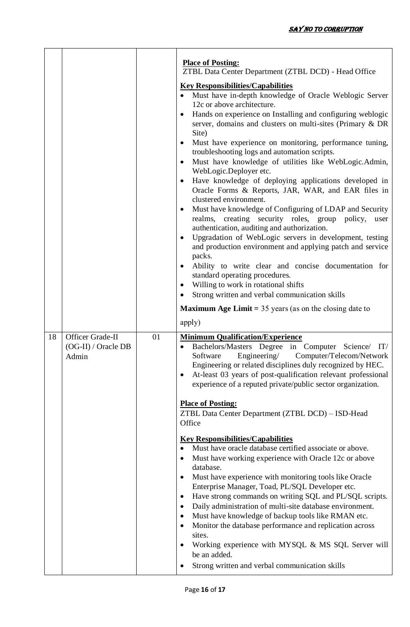|    |                                                  |    | <b>Place of Posting:</b><br>ZTBL Data Center Department (ZTBL DCD) - Head Office<br><b>Key Responsibilities/Capabilities</b><br>Must have in-depth knowledge of Oracle Weblogic Server<br>12c or above architecture.<br>Hands on experience on Installing and configuring weblogic<br>server, domains and clusters on multi-sites (Primary & DR<br>Site)<br>Must have experience on monitoring, performance tuning,<br>$\bullet$<br>troubleshooting logs and automation scripts.<br>Must have knowledge of utilities like WebLogic.Admin,<br>$\bullet$<br>WebLogic.Deployer etc.<br>Have knowledge of deploying applications developed in<br>$\bullet$<br>Oracle Forms & Reports, JAR, WAR, and EAR files in<br>clustered environment.<br>Must have knowledge of Configuring of LDAP and Security<br>$\bullet$<br>realms, creating security roles, group policy,<br>user<br>authentication, auditing and authorization.<br>Upgradation of WebLogic servers in development, testing<br>$\bullet$<br>and production environment and applying patch and service<br>packs.<br>Ability to write clear and concise documentation for<br>standard operating procedures.<br>Willing to work in rotational shifts<br>٠<br>Strong written and verbal communication skills<br>٠<br><b>Maximum Age Limit</b> = $35$ years (as on the closing date to |
|----|--------------------------------------------------|----|------------------------------------------------------------------------------------------------------------------------------------------------------------------------------------------------------------------------------------------------------------------------------------------------------------------------------------------------------------------------------------------------------------------------------------------------------------------------------------------------------------------------------------------------------------------------------------------------------------------------------------------------------------------------------------------------------------------------------------------------------------------------------------------------------------------------------------------------------------------------------------------------------------------------------------------------------------------------------------------------------------------------------------------------------------------------------------------------------------------------------------------------------------------------------------------------------------------------------------------------------------------------------------------------------------------------------------------|
| 18 | Officer Grade-II<br>(OG-II) / Oracle DB<br>Admin | 01 | apply)<br><b>Minimum Qualification/Experience</b><br>Bachelors/Masters Degree in Computer Science/ IT/<br>٠<br>Engineering/ Computer/Telecom/Network<br>Software<br>Engineering or related disciplines duly recognized by HEC.<br>At-least 03 years of post-qualification relevant professional<br>٠<br>experience of a reputed private/public sector organization.<br><b>Place of Posting:</b><br>ZTBL Data Center Department (ZTBL DCD) - ISD-Head<br>Office<br><b>Key Responsibilities/Capabilities</b><br>Must have oracle database certified associate or above.<br>Must have working experience with Oracle 12c or above<br>$\bullet$<br>database.<br>Must have experience with monitoring tools like Oracle<br>$\bullet$<br>Enterprise Manager, Toad, PL/SQL Developer etc.<br>Have strong commands on writing SQL and PL/SQL scripts.<br>٠<br>Daily administration of multi-site database environment.<br>٠<br>Must have knowledge of backup tools like RMAN etc.<br>$\bullet$<br>Monitor the database performance and replication across<br>$\bullet$<br>sites.<br>Working experience with MYSQL & MS SQL Server will<br>be an added.<br>Strong written and verbal communication skills                                                                                                                                         |